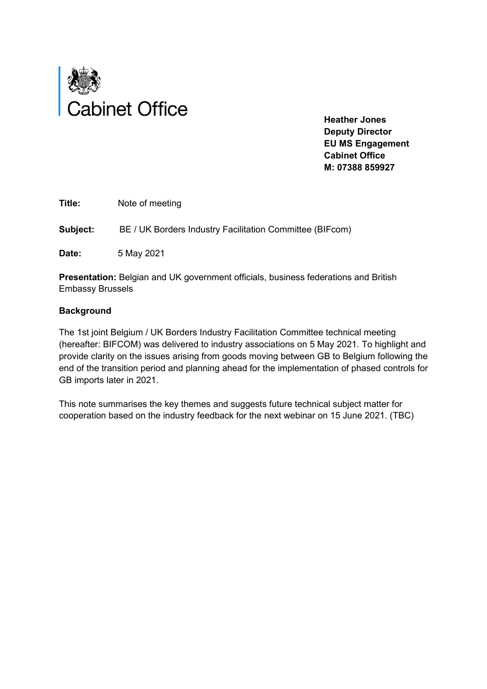

 **Deputy Director EU MS Engagement Cabinet Office M: 07388 859927** 

**Title:** Note of meeting

**Subject:** BE / UK Borders Industry Facilitation Committee (BIFcom)

**Date:** 5 May 2021

**Presentation:** Belgian and UK government officials, business federations and British Embassy Brussels

#### **Background**

The 1st joint Belgium / UK Borders Industry Facilitation Committee technical meeting (hereafter: BIFCOM) was delivered to industry associations on 5 May 2021. To highlight and provide clarity on the issues arising from goods moving between GB to Belgium following the end of the transition period and planning ahead for the implementation of phased controls for GB imports later in 2021.

This note summarises the key themes and suggests future technical subject matter for cooperation based on the industry feedback for the next webinar on 15 June 2021. (TBC)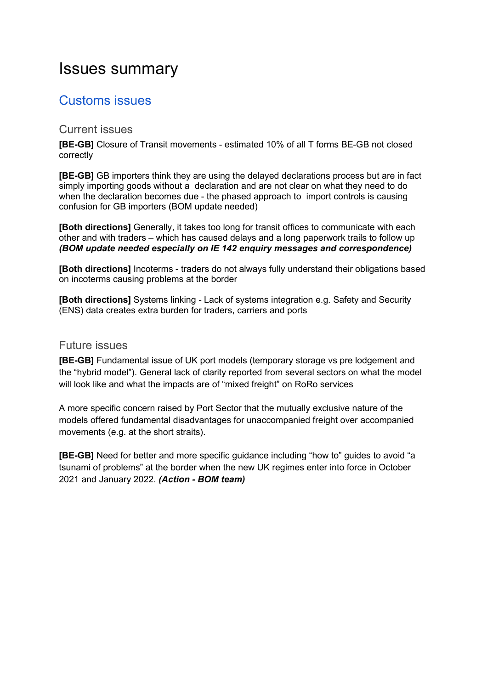# Issues summary

### Customs issues

#### Current issues

**[BE-GB]** Closure of Transit movements - estimated 10% of all T forms BE-GB not closed correctly

**[BE-GB]** GB importers think they are using the delayed declarations process but are in fact simply importing goods without a declaration and are not clear on what they need to do when the declaration becomes due - the phased approach to import controls is causing confusion for GB importers (BOM update needed)

**[Both directions]** Generally, it takes too long for transit offices to communicate with each other and with traders – which has caused delays and a long paperwork trails to follow up *(BOM update needed especially on IE 142 enquiry messages and correspondence)* 

**[Both directions]** Incoterms - traders do not always fully understand their obligations based on incoterms causing problems at the border

**[Both directions]** Systems linking - Lack of systems integration e.g. Safety and Security (ENS) data creates extra burden for traders, carriers and ports

#### Future issues

**[BE-GB]** Fundamental issue of UK port models (temporary storage vs pre lodgement and the "hybrid model"). General lack of clarity reported from several sectors on what the model will look like and what the impacts are of "mixed freight" on RoRo services

A more specific concern raised by Port Sector that the mutually exclusive nature of the models offered fundamental disadvantages for unaccompanied freight over accompanied movements (e.g. at the short straits).

**[BE-GB]** Need for better and more specific guidance including "how to" guides to avoid "a tsunami of problems" at the border when the new UK regimes enter into force in October 2021 and January 2022. *(Action - BOM team)*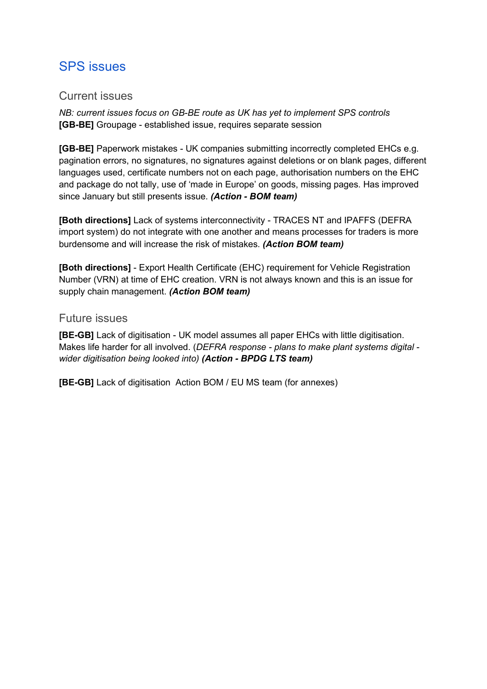### SPS issues

#### Current issues

*NB: current issues focus on GB-BE route as UK has yet to implement SPS controls*  **[GB-BE]** Groupage - established issue, requires separate session

**[GB-BE]** Paperwork mistakes - UK companies submitting incorrectly completed EHCs e.g. pagination errors, no signatures, no signatures against deletions or on blank pages, different languages used, certificate numbers not on each page, authorisation numbers on the EHC and package do not tally, use of 'made in Europe' on goods, missing pages. Has improved since January but still presents issue. *(Action - BOM team)* 

**[Both directions]** Lack of systems interconnectivity - TRACES NT and IPAFFS (DEFRA import system) do not integrate with one another and means processes for traders is more burdensome and will increase the risk of mistakes. *(Action BOM team)* 

**[Both directions]** - Export Health Certificate (EHC) requirement for Vehicle Registration Number (VRN) at time of EHC creation. VRN is not always known and this is an issue for supply chain management. *(Action BOM team)* 

#### Future issues

**[BE-GB]** Lack of digitisation - UK model assumes all paper EHCs with little digitisation. Makes life harder for all involved. (*DEFRA response - plans to make plant systems digital wider digitisation being looked into) (Action - BPDG LTS team)* 

**[BE-GB]** Lack of digitisation Action BOM / EU MS team (for annexes)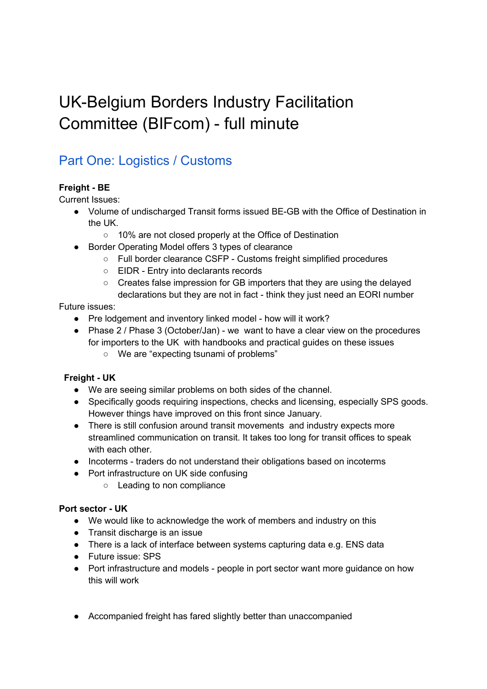# UK-Belgium Borders Industry Facilitation Committee (BIFcom) - full minute

### Part One: Logistics / Customs

#### **Freight - BE**

Current Issues:

- Volume of undischarged Transit forms issued BE-GB with the Office of Destination in the UK.
	- 10% are not closed properly at the Office of Destination
- Border Operating Model offers 3 types of clearance
	- Full border clearance CSFP Customs freight simplified procedures
	- EIDR Entry into declarants records
	- Creates false impression for GB importers that they are using the delayed declarations but they are not in fact - think they just need an EORI number

#### Future issues:

- Pre lodgement and inventory linked model how will it work?
- Phase 2 / Phase 3 (October/Jan) we want to have a clear view on the procedures for importers to the UK with handbooks and practical guides on these issues
	- We are "expecting tsunami of problems"

#### **Freight - UK**

- We are seeing similar problems on both sides of the channel.
- Specifically goods requiring inspections, checks and licensing, especially SPS goods. However things have improved on this front since January.
- There is still confusion around transit movements and industry expects more streamlined communication on transit. It takes too long for transit offices to speak with each other.
- Incoterms traders do not understand their obligations based on incoterms
- Port infrastructure on UK side confusing
	- Leading to non compliance

#### **Port sector - UK**

- We would like to acknowledge the work of members and industry on this
- Transit discharge is an issue
- There is a lack of interface between systems capturing data e.g. ENS data
- Future issue: SPS
- Port infrastructure and models people in port sector want more guidance on how this will work
- Accompanied freight has fared slightly better than unaccompanied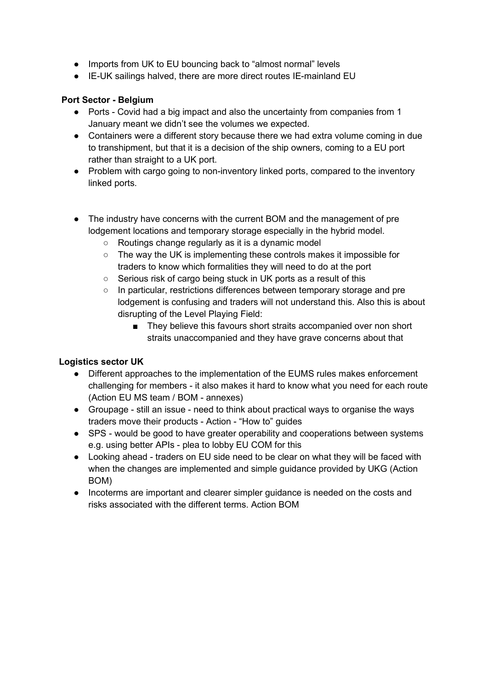- Imports from UK to EU bouncing back to "almost normal" levels
- IE-UK sailings halved, there are more direct routes IE-mainland EU

#### **Port Sector - Belgium**

- Ports Covid had a big impact and also the uncertainty from companies from 1 January meant we didn't see the volumes we expected.
- Containers were a different story because there we had extra volume coming in due to transhipment, but that it is a decision of the ship owners, coming to a EU port rather than straight to a UK port.
- Problem with cargo going to non-inventory linked ports, compared to the inventory linked ports.
- The industry have concerns with the current BOM and the management of pre lodgement locations and temporary storage especially in the hybrid model.
	- Routings change regularly as it is a dynamic model
	- The way the UK is implementing these controls makes it impossible for traders to know which formalities they will need to do at the port
	- Serious risk of cargo being stuck in UK ports as a result of this
	- In particular, restrictions differences between temporary storage and pre lodgement is confusing and traders will not understand this. Also this is about disrupting of the Level Playing Field:
		- They believe this favours short straits accompanied over non short straits unaccompanied and they have grave concerns about that

#### **Logistics sector UK**

- Different approaches to the implementation of the EUMS rules makes enforcement challenging for members - it also makes it hard to know what you need for each route (Action EU MS team / BOM - annexes)
- Groupage still an issue need to think about practical ways to organise the ways traders move their products - Action - "How to" guides
- SPS would be good to have greater operability and cooperations between systems e.g. using better APIs - plea to lobby EU COM for this
- Looking ahead traders on EU side need to be clear on what they will be faced with when the changes are implemented and simple guidance provided by UKG (Action BOM)
- Incoterms are important and clearer simpler guidance is needed on the costs and risks associated with the different terms. Action BOM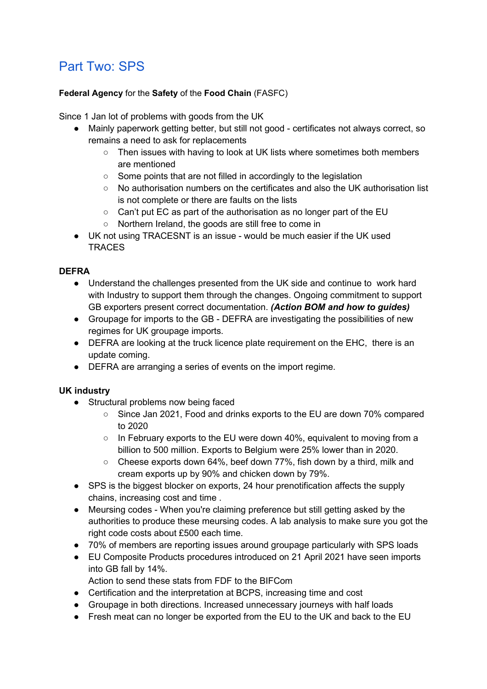### Part Two: SPS

#### **Federal Agency** for the **Safety** of the **Food Chain** (FASFC)

Since 1 Jan lot of problems with goods from the UK

- Mainly paperwork getting better, but still not good certificates not always correct, so remains a need to ask for replacements
	- Then issues with having to look at UK lists where sometimes both members are mentioned
	- Some points that are not filled in accordingly to the legislation
	- $\circ$  No authorisation numbers on the certificates and also the UK authorisation list is not complete or there are faults on the lists
	- Can't put EC as part of the authorisation as no longer part of the EU
	- Northern Ireland, the goods are still free to come in
- UK not using TRACESNT is an issue would be much easier if the UK used **TRACES**

#### **DEFRA**

- Understand the challenges presented from the UK side and continue to work hard with Industry to support them through the changes. Ongoing commitment to support GB exporters present correct documentation. *(Action BOM and how to guides)*
- Groupage for imports to the GB DEFRA are investigating the possibilities of new regimes for UK groupage imports.
- DEFRA are looking at the truck licence plate requirement on the EHC, there is an update coming.
- DEFRA are arranging a series of events on the import regime.

#### **UK industry**

- Structural problems now being faced
	- Since Jan 2021, Food and drinks exports to the EU are down 70% compared to 2020
	- $\circ$  In February exports to the EU were down 40%, equivalent to moving from a billion to 500 million. Exports to Belgium were 25% lower than in 2020.
	- Cheese exports down 64%, beef down 77%, fish down by a third, milk and cream exports up by 90% and chicken down by 79%.
- SPS is the biggest blocker on exports, 24 hour prenotification affects the supply chains, increasing cost and time .
- Meursing codes When you're claiming preference but still getting asked by the authorities to produce these meursing codes. A lab analysis to make sure you got the right code costs about £500 each time.
- 70% of members are reporting issues around groupage particularly with SPS loads
- EU Composite Products procedures introduced on 21 April 2021 have seen imports into GB fall by 14%.
	- Action to send these stats from FDF to the BIFCom
- Certification and the interpretation at BCPS, increasing time and cost
- Groupage in both directions. Increased unnecessary journeys with half loads
- Fresh meat can no longer be exported from the EU to the UK and back to the EU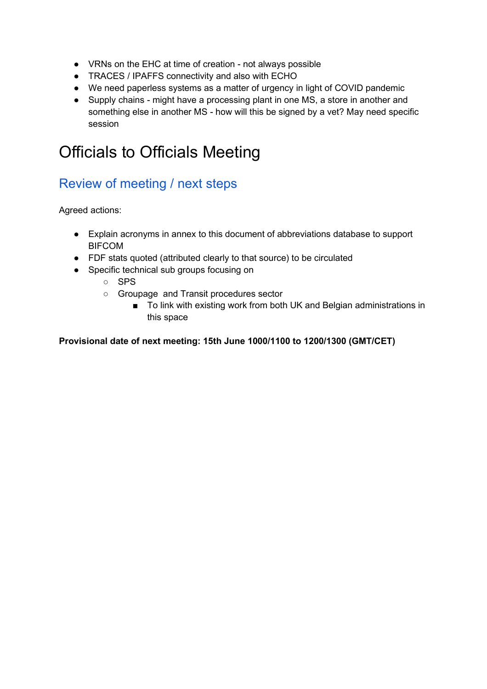- VRNs on the EHC at time of creation not always possible
- TRACES / IPAFFS connectivity and also with ECHO
- We need paperless systems as a matter of urgency in light of COVID pandemic
- Supply chains might have a processing plant in one MS, a store in another and something else in another MS - how will this be signed by a vet? May need specific session

# Officials to Officials Meeting

### Review of meeting / next steps

Agreed actions:

- Explain acronyms in annex to this document of abbreviations database to support BIFCOM
- FDF stats quoted (attributed clearly to that source) to be circulated
- Specific technical sub groups focusing on
	- SPS
	- Groupage and Transit procedures sector
		- To link with existing work from both UK and Belgian administrations in this space

#### **Provisional date of next meeting: 15th June 1000/1100 to 1200/1300 (GMT/CET)**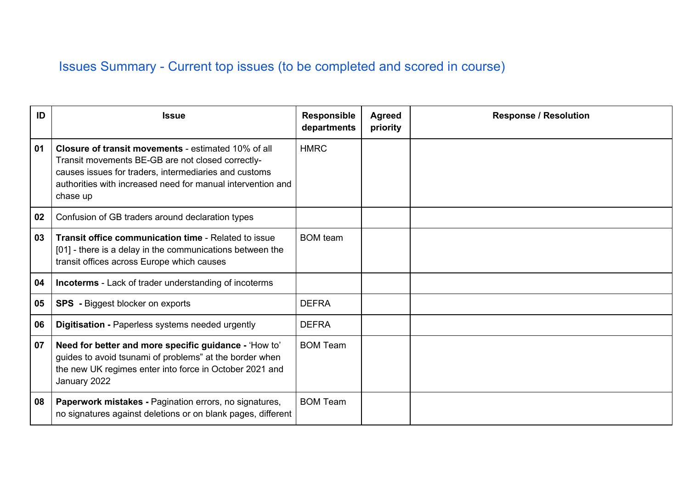## Issues Summary - Current top issues (to be completed and scored in course)

| ID | <b>Issue</b>                                                                                                                                                                                                                                        | <b>Responsible</b><br>departments | <b>Agreed</b><br>priority | <b>Response / Resolution</b> |
|----|-----------------------------------------------------------------------------------------------------------------------------------------------------------------------------------------------------------------------------------------------------|-----------------------------------|---------------------------|------------------------------|
| 01 | <b>Closure of transit movements - estimated 10% of all</b><br>Transit movements BE-GB are not closed correctly-<br>causes issues for traders, intermediaries and customs<br>authorities with increased need for manual intervention and<br>chase up | <b>HMRC</b>                       |                           |                              |
| 02 | Confusion of GB traders around declaration types                                                                                                                                                                                                    |                                   |                           |                              |
| 03 | Transit office communication time - Related to issue<br>[01] - there is a delay in the communications between the<br>transit offices across Europe which causes                                                                                     | <b>BOM</b> team                   |                           |                              |
| 04 | <b>Incoterms</b> - Lack of trader understanding of incoterms                                                                                                                                                                                        |                                   |                           |                              |
| 05 | <b>SPS</b> - Biggest blocker on exports                                                                                                                                                                                                             | <b>DEFRA</b>                      |                           |                              |
| 06 | <b>Digitisation - Paperless systems needed urgently</b>                                                                                                                                                                                             | <b>DEFRA</b>                      |                           |                              |
| 07 | Need for better and more specific guidance - 'How to'<br>guides to avoid tsunami of problems" at the border when<br>the new UK regimes enter into force in October 2021 and<br>January 2022                                                         | <b>BOM Team</b>                   |                           |                              |
| 08 | Paperwork mistakes - Pagination errors, no signatures,<br>no signatures against deletions or on blank pages, different                                                                                                                              | <b>BOM Team</b>                   |                           |                              |